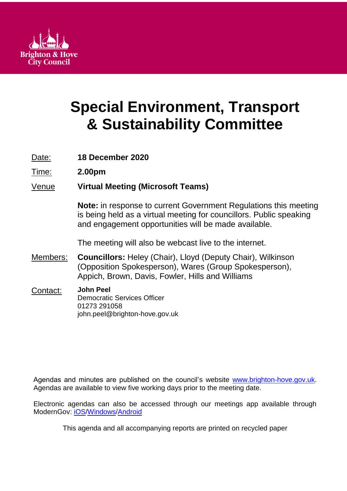

# **Special Environment, Transport & Sustainability Committee**

Date: **18 December 2020**

Time: **2.00pm**

# Venue **Virtual Meeting (Microsoft Teams)**

**Note:** in response to current Government Regulations this meeting is being held as a virtual meeting for councillors. Public speaking and engagement opportunities will be made available.

The meeting will also be webcast live to the internet.

- Members: **Councillors:** Heley (Chair), Lloyd (Deputy Chair), Wilkinson (Opposition Spokesperson), Wares (Group Spokesperson), Appich, Brown, Davis, Fowler, Hills and Williams
- Contact: **John Peel** Democratic Services Officer 01273 291058 john.peel@brighton-hove.gov.uk

Agendas and minutes are published on the council's website [www.brighton-hove.gov.uk.](http://www.brighton-hove.gov.uk/) Agendas are available to view five working days prior to the meeting date.

Electronic agendas can also be accessed through our meetings app available through ModernGov: [iOS](https://play.google.com/store/apps/details?id=uk.co.moderngov.modgov&hl=en_GB)[/Windows/](https://www.microsoft.com/en-gb/p/modgov/9nblggh0c7s7#activetab=pivot:overviewtab)[Android](https://play.google.com/store/apps/details?id=uk.co.moderngov.modgov&hl=en_GB)

This agenda and all accompanying reports are printed on recycled paper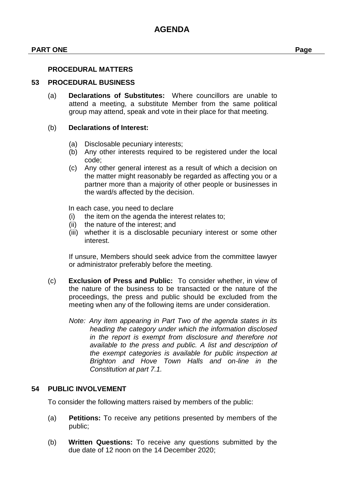#### **PART ONE Page**

#### **53 PROCEDURAL BUSINESS**

(a) **Declarations of Substitutes:** Where councillors are unable to attend a meeting, a substitute Member from the same political group may attend, speak and vote in their place for that meeting.

#### (b) **Declarations of Interest:**

- (a) Disclosable pecuniary interests;
- (b) Any other interests required to be registered under the local code;
- (c) Any other general interest as a result of which a decision on the matter might reasonably be regarded as affecting you or a partner more than a majority of other people or businesses in the ward/s affected by the decision.

In each case, you need to declare

- (i) the item on the agenda the interest relates to;
- (ii) the nature of the interest; and
- (iii) whether it is a disclosable pecuniary interest or some other interest.

If unsure, Members should seek advice from the committee lawyer or administrator preferably before the meeting.

- (c) **Exclusion of Press and Public:** To consider whether, in view of the nature of the business to be transacted or the nature of the proceedings, the press and public should be excluded from the meeting when any of the following items are under consideration.
	- *Note: Any item appearing in Part Two of the agenda states in its heading the category under which the information disclosed in the report is exempt from disclosure and therefore not available to the press and public. A list and description of the exempt categories is available for public inspection at Brighton and Hove Town Halls and on-line in the Constitution at part 7.1.*

#### **54 PUBLIC INVOLVEMENT**

To consider the following matters raised by members of the public:

- (a) **Petitions:** To receive any petitions presented by members of the public;
- (b) **Written Questions:** To receive any questions submitted by the due date of 12 noon on the 14 December 2020;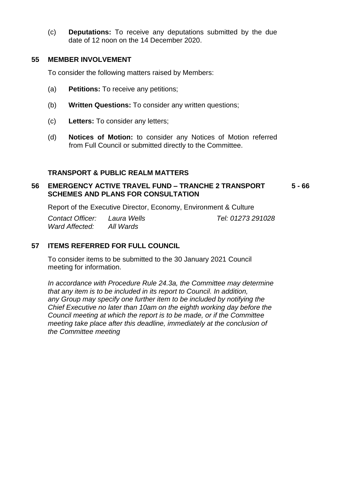(c) **Deputations:** To receive any deputations submitted by the due date of 12 noon on the 14 December 2020.

#### **55 MEMBER INVOLVEMENT**

To consider the following matters raised by Members:

- (a) **Petitions:** To receive any petitions;
- (b) **Written Questions:** To consider any written questions;
- (c) **Letters:** To consider any letters;
- (d) **Notices of Motion:** to consider any Notices of Motion referred from Full Council or submitted directly to the Committee.

#### **TRANSPORT & PUBLIC REALM MATTERS**

#### **56 EMERGENCY ACTIVE TRAVEL FUND – TRANCHE 2 TRANSPORT SCHEMES AND PLANS FOR CONSULTATION 5 - 66**

Report of the Executive Director, Economy, Environment & Culture

*Contact Officer: Laura Wells Tel: 01273 291028 Ward Affected: All Wards*

## **57 ITEMS REFERRED FOR FULL COUNCIL**

To consider items to be submitted to the 30 January 2021 Council meeting for information.

*In accordance with Procedure Rule 24.3a, the Committee may determine that any item is to be included in its report to Council. In addition, any Group may specify one further item to be included by notifying the Chief Executive no later than 10am on the eighth working day before the Council meeting at which the report is to be made, or if the Committee meeting take place after this deadline, immediately at the conclusion of the Committee meeting*